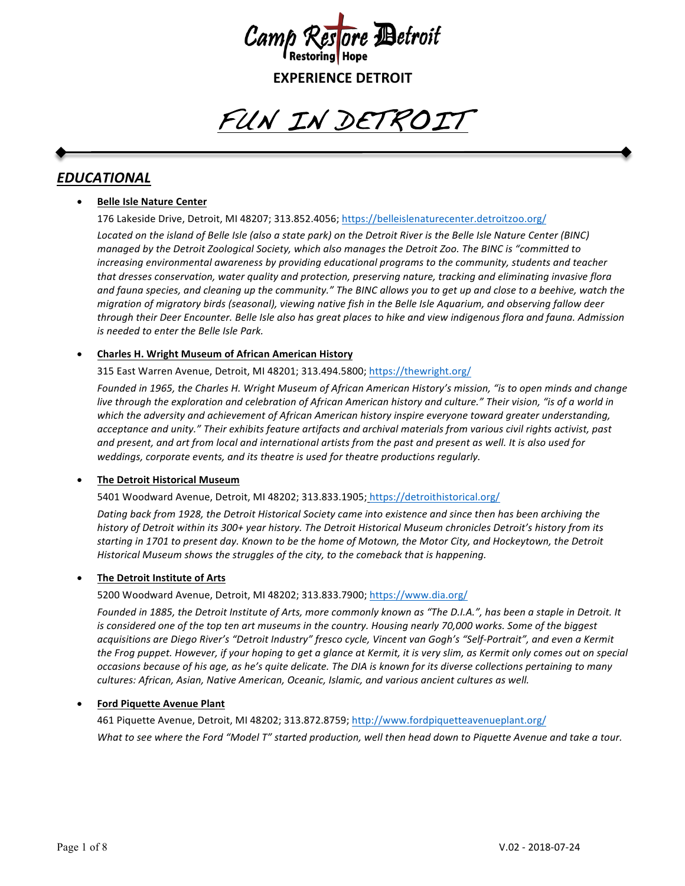

FUN IN DETROIT

# *EDUCATIONAL*

## **Belle Isle Nature Center**

176 Lakeside Drive, Detroit, MI 48207; 313.852.4056; https://belleislenaturecenter.detroitzoo.org/

*Located* on the island of Belle Isle (also a state park) on the Detroit River is the Belle Isle Nature Center (BINC) *managed by the Detroit Zoological Society, which also manages the Detroit Zoo. The BINC is "committed to increasing environmental awareness by providing educational programs to the community, students and teacher* that dresses conservation, water quality and protection, preserving nature, tracking and eliminating invasive flora and fauna species, and cleaning up the community." The BINC allows you to get up and close to a beehive, watch the *migration* of migratory birds (seasonal), viewing native fish in the Belle Isle Aquarium, and observing fallow deer through their Deer Encounter. Belle Isle also has great places to hike and view indigenous flora and fauna. Admission *is* needed to enter the Belle Isle Park.

## • **Charles H. Wright Museum of African American History**

315 East Warren Avenue, Detroit, MI 48201; 313.494.5800; https://thewright.org/

Founded in 1965, the Charles H. Wright Museum of African American History's mission, "is to open minds and change *live* through the exploration and celebration of African American history and culture." Their vision, "is of a world in which the adversity and achievement of African American history inspire everyone toward greater understanding, acceptance and unity." Their exhibits feature artifacts and archival materials from various civil rights activist, past and present, and art from local and international artists from the past and present as well. It is also used for weddings, corporate events, and its theatre is used for theatre productions regularly.

## **The Detroit Historical Museum**

5401 Woodward Avenue, Detroit, MI 48202; 313.833.1905; https://detroithistorical.org/

Dating back from 1928, the Detroit Historical Society came into existence and since then has been archiving the history of Detroit within its 300+ year history. The Detroit Historical Museum chronicles Detroit's history from its starting in 1701 to present day. Known to be the home of Motown, the Motor City, and Hockeytown, the Detroit *Historical Museum shows the struggles of the city, to the comeback that is happening.* 

## **The Detroit Institute of Arts**

5200 Woodward Avenue, Detroit, MI 48202; 313.833.7900; https://www.dia.org/

Founded in 1885, the Detroit Institute of Arts, more commonly known as "The D.I.A.", has been a staple in Detroit. It *is* considered one of the top ten art museums in the country. Housing nearly 70,000 works. Some of the biggest acquisitions are Diego River's "Detroit Industry" fresco cycle, Vincent van Gogh's "Self-Portrait", and even a Kermit the Frog puppet. However, if your hoping to get a glance at Kermit, it is very slim, as Kermit only comes out on special *occasions because of his age, as he's quite delicate. The DIA is known for its diverse collections pertaining to many* cultures: African, Asian, Native American, Oceanic, Islamic, and various ancient cultures as well.

## **Ford Piquette Avenue Plant**

461 Piquette Avenue, Detroit, MI 48202; 313.872.8759; http://www.fordpiquetteavenueplant.org/ *What* to see where the Ford "Model T" started production, well then head down to Piquette Avenue and take a tour.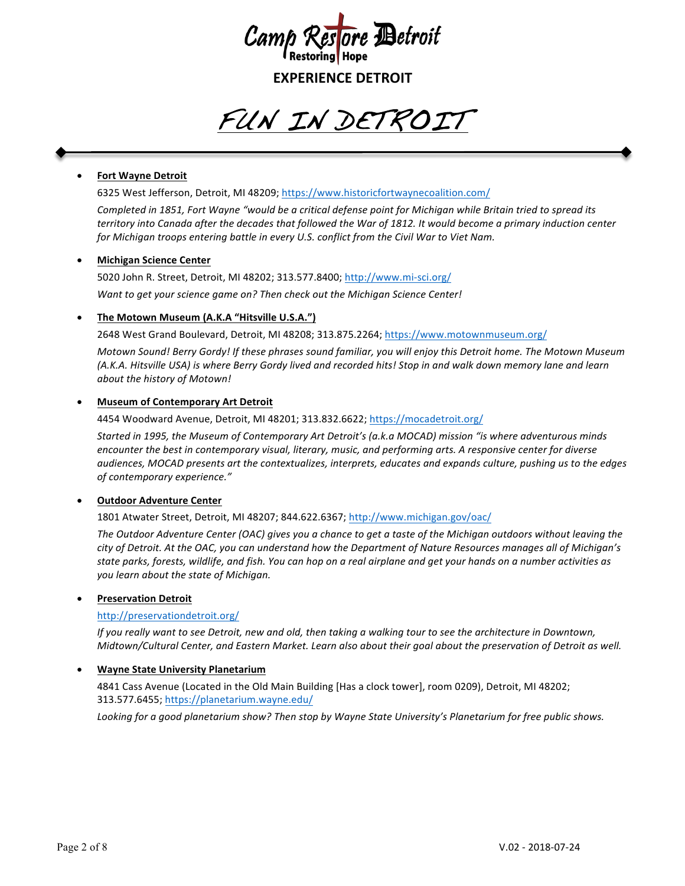

FUN IN DETROIT

## • **Fort Wayne Detroit**

6325 West Jefferson, Detroit, MI 48209; https://www.historicfortwaynecoalition.com/

Completed in 1851, Fort Wayne "would be a critical defense point for Michigan while Britain tried to spread its *territory* into Canada after the decades that followed the War of 1812. It would become a primary induction center *for Michigan troops entering battle in every U.S. conflict from the Civil War to Viet Nam.* 

#### • **Michigan Science Center**

5020 John R. Street, Detroit, MI 48202; 313.577.8400; http://www.mi-sci.org/ Want to get your science game on? Then check out the Michigan Science Center!

#### **The Motown Museum (A.K.A "Hitsville U.S.A.")**

2648 West Grand Boulevard, Detroit, MI 48208; 313.875.2264; https://www.motownmuseum.org/

*Motown Sound! Berry Gordy! If these phrases sound familiar, you will enjoy this Detroit home. The Motown Museum (A.K.A. Hitsville USA) is where Berry Gordy lived and recorded hits! Stop in and walk down memory lane and learn about the history of Motown!* 

#### **Museum of Contemporary Art Detroit**

4454 Woodward Avenue, Detroit, MI 48201; 313.832.6622; https://mocadetroit.org/

Started in 1995, the Museum of Contemporary Art Detroit's (a.k.a MOCAD) mission "is where adventurous minds *encounter the best in contemporary visual, literary, music, and performing arts. A responsive center for diverse* audiences, MOCAD presents art the contextualizes, interprets, educates and expands culture, pushing us to the edges *of contemporary experience."*

#### • **Outdoor Adventure Center**

1801 Atwater Street, Detroit, MI 48207; 844.622.6367; http://www.michigan.gov/oac/

The Outdoor Adventure Center (OAC) gives you a chance to get a taste of the Michigan outdoors without leaving the city of Detroit. At the OAC, you can understand how the Department of Nature Resources manages all of Michigan's state parks, forests, wildlife, and fish. You can hop on a real airplane and get your hands on a number activities as *you learn about the state of Michigan.*

#### • **Preservation Detroit**

#### http://preservationdetroit.org/

*If* you really want to see Detroit, new and old, then taking a walking tour to see the architecture in Downtown, *Midtown/Cultural Center, and Eastern Market. Learn also about their goal about the preservation of Detroit as well.* 

#### **Wayne State University Planetarium**

4841 Cass Avenue (Located in the Old Main Building [Has a clock tower], room 0209), Detroit, MI 48202; 313.577.6455; https://planetarium.wayne.edu/

Looking for a good planetarium show? Then stop by Wayne State University's Planetarium for free public shows.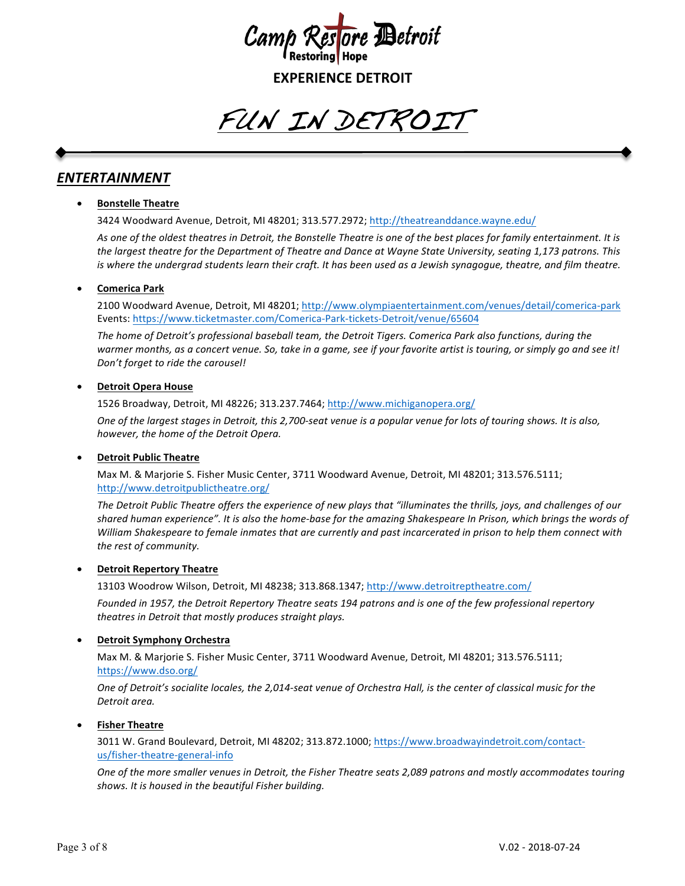

FUN IN DETROIT

# *ENTERTAINMENT*

## • **Bonstelle Theatre**

3424 Woodward Avenue, Detroit, MI 48201; 313.577.2972; http://theatreanddance.wayne.edu/

As one of the oldest theatres in Detroit, the Bonstelle Theatre is one of the best places for family entertainment. It is the largest theatre for the Department of Theatre and Dance at Wayne State University, seating 1,173 patrons. This *is* where the undergrad students learn their craft. It has been used as a Jewish synagogue, theatre, and film theatre.

## • **Comerica Park**

2100 Woodward Avenue, Detroit, MI 48201; http://www.olympiaentertainment.com/venues/detail/comerica-park Events: https://www.ticketmaster.com/Comerica-Park-tickets-Detroit/venue/65604

The home of Detroit's professional baseball team, the Detroit Tigers. Comerica Park also functions, during the warmer months, as a concert venue. So, take in a game, see if your favorite artist is touring, or simply go and see it! Don't forget to ride the carousel!

## **Detroit Opera House**

1526 Broadway, Detroit, MI 48226; 313.237.7464; http://www.michiganopera.org/

*One* of the largest stages in Detroit, this 2,700-seat venue is a popular venue for lots of touring shows. It is also, *however, the home of the Detroit Opera.* 

## **Detroit Public Theatre**

Max M. & Marjorie S. Fisher Music Center, 3711 Woodward Avenue, Detroit, MI 48201; 313.576.5111; http://www.detroitpublictheatre.org/

The Detroit Public Theatre offers the experience of new plays that "illuminates the thrills, joys, and challenges of our shared human experience". It is also the home-base for the amazing Shakespeare In Prison, which brings the words of *William* Shakespeare to female inmates that are currently and past incarcerated in prison to help them connect with the rest of community.

## **Detroit Repertory Theatre**

13103 Woodrow Wilson, Detroit, MI 48238; 313.868.1347; http://www.detroitreptheatre.com/

Founded in 1957, the Detroit Repertory Theatre seats 194 patrons and is one of the few professional repertory *theatres in Detroit that mostly produces straight plays.* 

## **Detroit Symphony Orchestra**

Max M. & Marjorie S. Fisher Music Center, 3711 Woodward Avenue, Detroit, MI 48201; 313.576.5111; https://www.dso.org/

One of Detroit's socialite locales, the 2,014-seat venue of Orchestra Hall, is the center of classical music for the Detroit area.

## • **Fisher Theatre**

3011 W. Grand Boulevard, Detroit, MI 48202; 313.872.1000; https://www.broadwayindetroit.com/contactus/fisher-theatre-general-info

*One of the more smaller venues in Detroit, the Fisher Theatre seats 2,089 patrons and mostly accommodates touring shows. It is housed in the beautiful Fisher building.*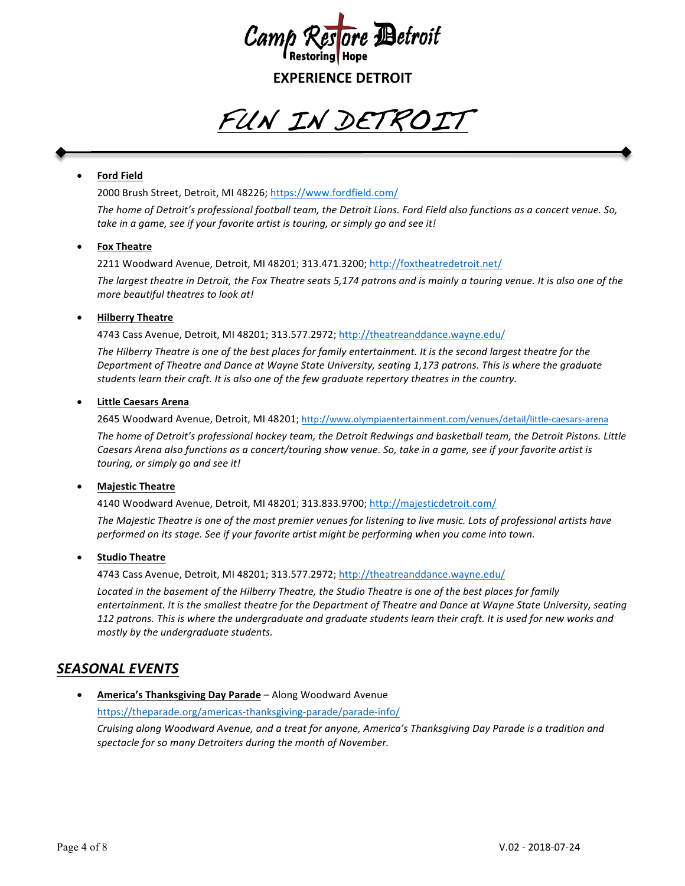

FUN IN DETROIT

## • **Ford Field**

2000 Brush Street, Detroit, MI 48226; https://www.fordfield.com/ The home of Detroit's professional football *team,* the Detroit Lions. Ford Field also functions as a concert venue. So, take in a game, see if your favorite artist is touring, or simply go and see it!

## • **Fox Theatre**

2211 Woodward Avenue, Detroit, MI 48201; 313.471.3200; http://foxtheatredetroit.net/

The largest theatre in Detroit, the Fox Theatre seats 5,174 patrons and is mainly a touring venue. It is also one of the *more beautiful theatres to look at!* 

## • **Hilberry Theatre**

4743 Cass Avenue, Detroit, MI 48201; 313.577.2972; http://theatreanddance.wayne.edu/

The Hilberry Theatre is one of the best places for family entertainment. It is the second largest theatre for the *Department of Theatre and Dance at Wayne State University, seating 1,173 patrons. This is where the graduate* students learn their craft. It is also one of the few graduate repertory theatres in the country.

## • **Little Caesars Arena**

2645 Woodward Avenue, Detroit, MI 48201; http://www.olympiaentertainment.com/venues/detail/little-caesars-arena

The home of Detroit's professional hockey team, the Detroit Redwings and basketball team, the Detroit Pistons. Little *Caesars Arena also functions as a concert/touring show venue. So, take in a game, see if your favorite artist is touring, or simply go and see it!*

## • **Majestic Theatre**

4140 Woodward Avenue, Detroit, MI 48201; 313.833.9700; http://majesticdetroit.com/

The Majestic Theatre is one of the most premier venues for listening to live music. Lots of professional artists have performed on its stage. See if your favorite artist might be performing when you come into town.

## • **Studio Theatre**

4743 Cass Avenue, Detroit, MI 48201; 313.577.2972; http://theatreanddance.wayne.edu/

Located in the basement of the Hilberry Theatre, the Studio Theatre is one of the best places for family *entertainment.* It is the smallest theatre for the Department of Theatre and Dance at Wayne State University, seating *112* patrons. This is where the undergraduate and graduate students learn their craft. It is used for new works and *mostly by the undergraduate students.* 

# *SEASONAL EVENTS*

**• America's Thanksgiving Day Parade** – Along Woodward Avenue https://theparade.org/americas-thanksgiving-parade/parade-info/ *Cruising along Woodward Avenue, and a treat for anyone, America's Thanksgiving Day Parade is a tradition and* spectacle for so many Detroiters during the month of November.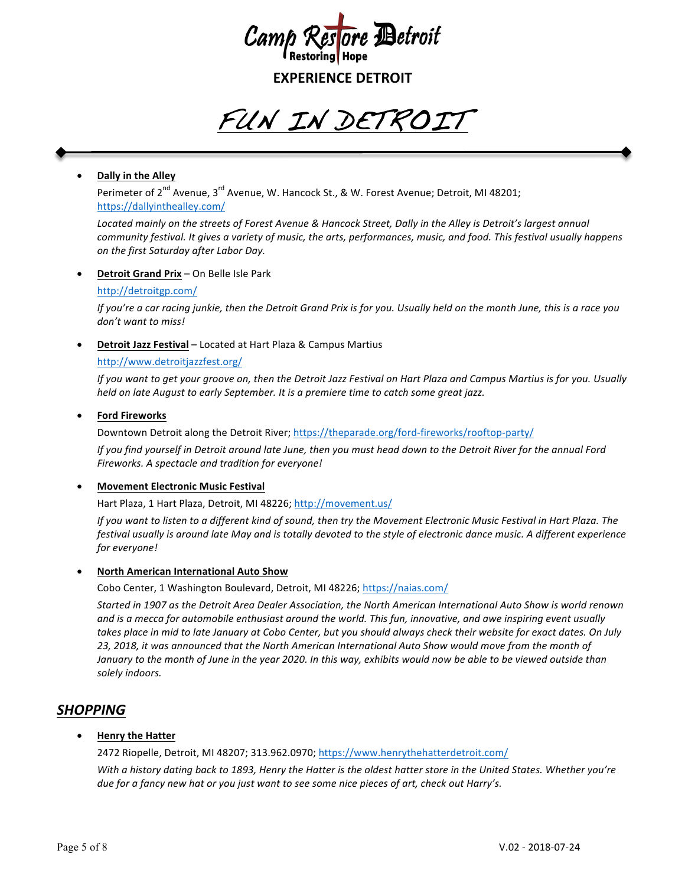

FUN IN DETROIT

## • **Dally in the Alley**

Perimeter of 2<sup>nd</sup> Avenue, 3<sup>rd</sup> Avenue, W. Hancock St., & W. Forest Avenue; Detroit, MI 48201; https://dallyinthealley.com/

Located mainly on the streets of Forest Avenue & Hancock Street, Dally in the Alley is Detroit's largest annual *community festival.* It gives a variety of music, the arts, performances, music, and food. This festival usually happens *on the first Saturday after Labor Day.*

## **Detroit Grand Prix** – On Belle Isle Park

#### http://detroitgp.com/

*If* you're a car racing junkie, then the Detroit Grand Prix is for you. Usually held on the month June, this is a race you *don't want to miss!*

## **Detroit Jazz Festival** – Located at Hart Plaza & Campus Martius

## http://www.detroitjazzfest.org/

*If* you want to get your groove on, then the Detroit Jazz Festival on Hart Plaza and Campus Martius is for you. Usually *held* on late August to early September. It is a premiere time to catch some great jazz.

## • **Ford Fireworks**

Downtown Detroit along the Detroit River; https://theparade.org/ford-fireworks/rooftop-party/

*If* you find yourself in Detroit around late June, then you must head down to the Detroit River for the annual Ford *Fireworks. A spectacle and tradition for everyone!*

## **Movement Electronic Music Festival**

Hart Plaza, 1 Hart Plaza, Detroit, MI 48226; http://movement.us/

*If* you want to listen to a different kind of sound, then try the Movement Electronic Music Festival in Hart Plaza. The *festival usually is around late May and is totally devoted to the style of electronic dance music. A different experience for everyone!*

#### **North American International Auto Show**

Cobo Center, 1 Washington Boulevard, Detroit, MI 48226; https://naias.com/

*Started in 1907 as the Detroit Area Dealer Association, the North American International Auto Show is world renown* and is a mecca for automobile enthusiast around the world. This fun, innovative, and awe inspiring event usually takes place in mid to late January at Cobo Center, but you should always check their website for exact dates. On July 23, 2018, it was announced that the North American International Auto Show would move from the month of January to the month of June in the year 2020. In this way, exhibits would now be able to be viewed outside than *solely indoors.*

## *SHOPPING*

## • **Henry the Hatter**

2472 Riopelle, Detroit, MI 48207; 313.962.0970; https://www.henrythehatterdetroit.com/

*With* a history dating back to 1893, Henry the Hatter is the oldest hatter store in the United States. Whether you're *due for a fancy new hat or you just want to see some nice pieces of art, check out Harry's.*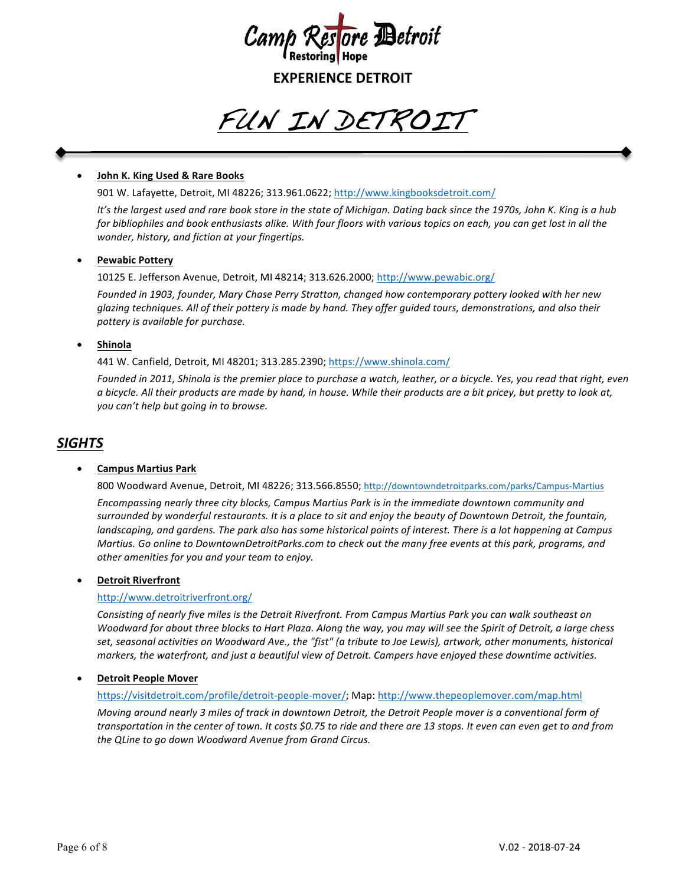

FUN IN DETROIT

## • **John K. King Used & Rare Books**

901 W. Lafayette, Detroit, MI 48226; 313.961.0622; http://www.kingbooksdetroit.com/

It's the largest used and rare book store in the state of Michigan. Dating back since the 1970s, John K. King is a hub *for bibliophiles and book enthusiasts alike. With four floors with various topics on each, you can get lost in all the wonder, history, and fiction at your fingertips.* 

## • **Pewabic Pottery**

10125 E. Jefferson Avenue, Detroit, MI 48214; 313.626.2000; http://www.pewabic.org/

Founded in 1903, founder, Mary Chase Perry Stratton, changed how contemporary pottery looked with her new glazing techniques. All of their pottery is made by hand. They offer guided tours, demonstrations, and also their *pottery is available for purchase.*

## • **Shinola**

441 W. Canfield, Detroit, MI 48201; 313.285.2390; https://www.shinola.com/

Founded in 2011, Shinola is the premier place to purchase a watch, leather, or a bicycle. Yes, you read that right, even a bicycle. All their products are made by hand, in house. While their products are a bit pricey, but pretty to look at, *you* can't help but going in to browse.

## *SIGHTS*

#### • **Campus Martius Park**

800 Woodward Avenue, Detroit, MI 48226; 313.566.8550; http://downtowndetroitparks.com/parks/Campus-Martius

*Encompassing nearly three city blocks, Campus Martius Park is in the immediate downtown community and* surrounded by wonderful restaurants. It is a place to sit and enjoy the beauty of Downtown Detroit, the fountain, *landscaping, and gardens. The park also has some historical points of interest. There is a lot happening at Campus Martius.* Go online to DowntownDetroitParks.com to check out the many free events at this park, programs, and other amenities for you and your team to enjoy.

#### **Detroit Riverfront**

## http://www.detroitriverfront.org/

*Consisting* of nearly five miles is the Detroit Riverfront. From Campus Martius Park you can walk southeast on *Woodward for about three blocks to Hart Plaza. Along the way, you may will see the Spirit of Detroit, a large chess* set, seasonal activities on Woodward Ave., the "fist" (a tribute to Joe Lewis), artwork, other monuments, historical *markers, the waterfront, and just a beautiful view of Detroit. Campers have enjoyed these downtime activities.* 

#### **Detroit People Mover**

#### https://visitdetroit.com/profile/detroit-people-mover/; Map: http://www.thepeoplemover.com/map.html

*Moving around nearly 3 miles of track in downtown Detroit, the Detroit People mover is a conventional form of* transportation in the center of town. It costs \$0.75 to ride and there are 13 stops. It even can even get to and from *the QLine to go down Woodward Avenue from Grand Circus.*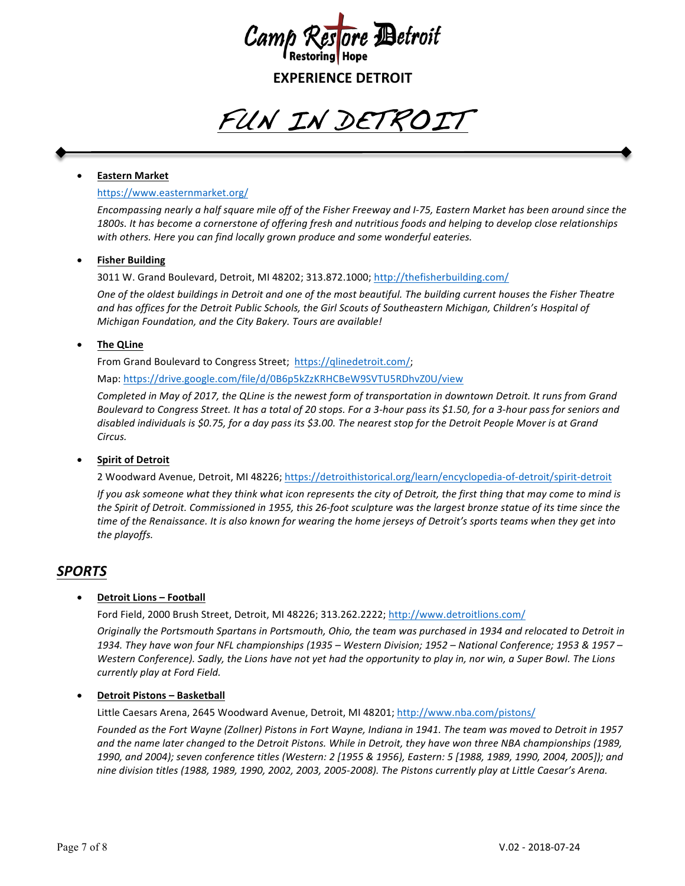

FUN IN DETROIT

## • **Eastern Market**

#### https://www.easternmarket.org/

Encompassing nearly a half square mile off of the Fisher Freeway and I-75, Eastern Market has been around since the 1800s. It has become a cornerstone of offering fresh and nutritious foods and helping to develop close relationships with others. Here you can find locally grown produce and some wonderful eateries.

## **Fisher Building**

3011 W. Grand Boulevard, Detroit, MI 48202; 313.872.1000; http://thefisherbuilding.com/

One of the oldest buildings in Detroit and one of the most beautiful. The building current houses the Fisher Theatre and has offices for the Detroit Public Schools, the Girl Scouts of Southeastern Michigan, Children's Hospital of *Michigan Foundation, and the City Bakery. Tours are available!* 

## **The QLine**

From Grand Boulevard to Congress Street; https://qlinedetroit.com/;

Map: https://drive.google.com/file/d/0B6p5kZzKRHCBeW9SVTU5RDhvZ0U/view

*Completed in May of 2017, the QLine is the newest form of transportation in downtown Detroit. It runs from Grand Boulevard to Congress Street. It has a total of 20 stops. For a 3-hour pass its \$1.50, for a 3-hour pass for seniors and* disabled individuals is \$0.75, for a day pass its \$3.00. The nearest stop for the Detroit People Mover is at Grand *Circus.*

## **Spirit of Detroit**

2 Woodward Avenue, Detroit, MI 48226; https://detroithistorical.org/learn/encyclopedia-of-detroit/spirit-detroit

*If* you ask someone what they think what icon represents the city of Detroit, the first thing that may come to mind is the Spirit of Detroit. Commissioned in 1955, this 26-foot sculpture was the largest bronze statue of its time since the *time* of the Renaissance. It is also known for wearing the home jerseys of Detroit's sports teams when they get into *the playoffs.*

## *SPORTS*

## **Detroit Lions - Football**

Ford Field, 2000 Brush Street, Detroit, MI 48226; 313.262.2222; http://www.detroitlions.com/

*Originally* the Portsmouth Spartans in Portsmouth, Ohio, the team was purchased in 1934 and relocated to Detroit in *1934. They have won four NFL championships (1935 – Western Division; 1952 – National Conference; 1953 & 1957 – Western Conference).* Sadly, the Lions have not yet had the opportunity to play in, nor win, a Super Bowl. The Lions *currently play at Ford Field.*

#### • **Detroit Pistons – Basketball**

Little Caesars Arena, 2645 Woodward Avenue, Detroit, MI 48201; http://www.nba.com/pistons/

Founded as the Fort Wayne (Zollner) Pistons in Fort Wayne, Indiana in 1941. The team was moved to Detroit in 1957 and the name later changed to the Detroit Pistons. While in Detroit, they have won three NBA championships (1989, 1990, and 2004); seven conference titles (Western: 2 [1955 & 1956), Eastern: 5 [1988, 1989, 1990, 2004, 2005]); and *nine division titles (1988, 1989, 1990, 2002, 2003, 2005-2008). The Pistons currently play at Little Caesar's Arena.*